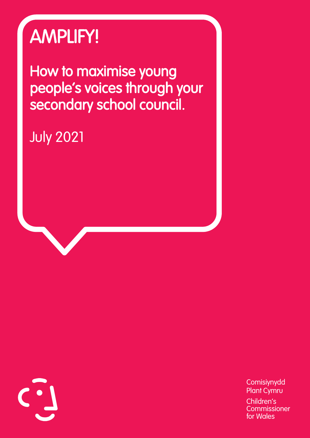## AMPLIFY!

How to maximise young people's voices through your secondary school council.

July 2021

**Comisiynydd** Plant Cymru Children's **Commissioner** for Wales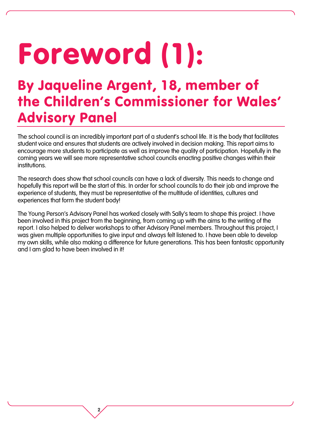## Foreword (1):

2

### By Jaqueline Argent, 18, member of the Children's Commissioner for Wales' Advisory Panel

The school council is an incredibly important part of a student's school life. It is the body that facilitates student voice and ensures that students are actively involved in decision making. This report aims to encourage more students to participate as well as improve the quality of participation. Hopefully in the coming years we will see more representative school councils enacting positive changes within their institutions.

The research does show that school councils can have a lack of diversity. This needs to change and hopefully this report will be the start of this. In order for school councils to do their job and improve the experience of students, they must be representative of the multitude of identities, cultures and experiences that form the student body!

The Young Person's Advisory Panel has worked closely with Sally's team to shape this project. I have been involved in this project from the beginning, from coming up with the aims to the writing of the report. I also helped to deliver workshops to other Advisory Panel members. Throughout this project, I was given multiple opportunities to give input and always felt listened to. I have been able to develop my own skills, while also making a difference for future generations. This has been fantastic opportunity and I am glad to have been involved in it!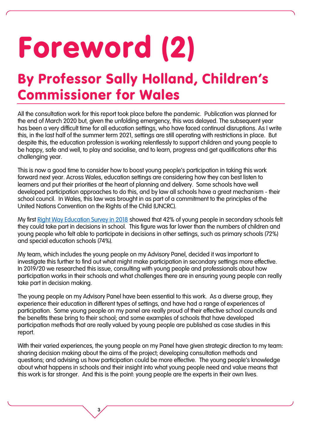## Foreword (2)

### By Professor Sally Holland, Children's Commissioner for Wales

All the consultation work for this report took place before the pandemic. Publication was planned for the end of March 2020 but, given the unfolding emergency, this was delayed. The subsequent year has been a very difficult time for all education settings, who have faced continual disruptions. As I write this, in the last half of the summer term 2021, settings are still operating with restrictions in place. But despite this, the education profession is working relentlessly to support children and young people to be happy, safe and well, to play and socialise, and to learn, progress and get qualifications after this challenging year.

This is now a good time to consider how to boost young people's participation in taking this work forward next year. Across Wales, education settings are considering how they can best listen to learners and put their priorities at the heart of planning and delivery. Some schools have well developed participation approaches to do this, and by law all schools have a great mechanism - their school council. In Wales, this law was brought in as part of a commitment to the principles of the United Nations Convention on the Rights of the Child (UNCRC).

My first [Right Way Education Survey in 2018](https://www.childcomwales.org.uk/wp-content/uploads/2018/10/Childrens-Rights-Survey.pdf) showed that 42% of young people in secondary schools felt they could take part in decisions in school. This figure was far lower than the numbers of children and young people who felt able to participate in decisions in other settings, such as primary schools (72%) and special education schools (74%).

My team, which includes the young people on my Advisory Panel, decided it was important to investigate this further to find out what might make participation in secondary settings more effective. In 2019/20 we researched this issue, consulting with young people and professionals about how participation works in their schools and what challenges there are in ensuring young people can really take part in decision making.

The young people on my Advisory Panel have been essential to this work. As a diverse group, they experience their education in different types of settings, and have had a range of experiences of participation. Some young people on my panel are really proud of their effective school councils and the benefits these bring to their school; and some examples of schools that have developed participation methods that are really valued by young people are published as case studies in this report.

With their varied experiences, the young people on my Panel have given strategic direction to my team: sharing decision making about the aims of the project; developing consultation methods and questions; and advising us how participation could be more effective. The young people's knowledge about what happens in schools and their insight into what young people need and value means that this work is far stronger. And this is the point: young people are the experts in their own lives.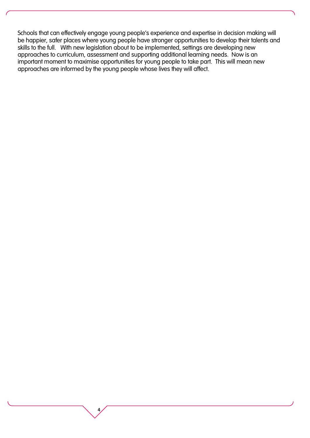Schools that can effectively engage young people's experience and expertise in decision making will be happier, safer places where young people have stronger opportunities to develop their talents and skills to the full. With new legislation about to be implemented, settings are developing new approaches to curriculum, assessment and supporting additional learning needs. Now is an important moment to maximise opportunities for young people to take part. This will mean new approaches are informed by the young people whose lives they will affect.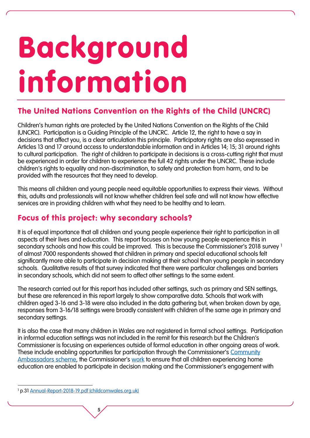# Background information

#### The United Nations Convention on the Rights of the Child (UNCRC)

Children's human rights are protected by the United Nations Convention on the Rights of the Child (UNCRC). Participation is a Guiding Principle of the UNCRC. Article 12, the right to have a say in decisions that affect you, is a clear articulation this principle. Participatory rights are also expressed in Articles 13 and 17 around access to understandable information and in Articles 14; 15; 31 around rights to cultural participation. The right of children to participate in decisions is a cross-cutting right that must be experienced in order for children to experience the full 42 rights under the UNCRC. These include children's rights to equality and non-discrimination, to safety and protection from harm, and to be provided with the resources that they need to develop.

This means all children and young people need equitable opportunities to express their views. Without this, adults and professionals will not know whether children feel safe and will not know how effective services are in providing children with what they need to be healthy and to learn.

#### Focus of this project: why secondary schools?

It is of equal importance that all children and young people experience their right to participation in all aspects of their lives and education. This report focuses on how young people experience this in secondary schools and how this could be improved. This is because the Commissioner's 2018 survey 1 of almost 7000 respondents showed that children in primary and special educational schools felt significantly more able to participate in decision making at their school than young people in secondary schools. Qualitative results of that survey indicated that there were particular challenges and barriers in secondary schools, which did not seem to affect other settings to the same extent.

The research carried out for this report has included other settings, such as primary and SEN settings, but these are referenced in this report largely to show comparative data. Schools that work with children aged 3-16 and 3-18 were also included in the data gathering but, when broken down by age, responses from 3-16/18 settings were broadly consistent with children of the same age in primary and secondary settings.

It is also the case that many children in Wales are not registered in formal school settings. Participation in informal education settings was not included in the remit for this research but the Children's Commissioner is focusing on experiences outside of formal education in other ongoing areas of work. These include enabling opportunities for participation through the Commissioner's Community [Ambassadors scheme](https://www.childcomwales.org.uk/our-schemes/community/), the Commissioner's [work](https://www.childcomwales.org.uk/our-work/policy-positions/home-education/) to ensure that all children experiencing home education are enabled to participate in decision making and the Commissioner's engagement with

 $\overline{a}$ <sup>1</sup> p.31 [Annual-Report-2018-19.pdf \(childcomwales.org.uk\)](https://www.childcomwales.org.uk/wp-content/uploads/2019/10/Annual-Report-2018-19.pdf)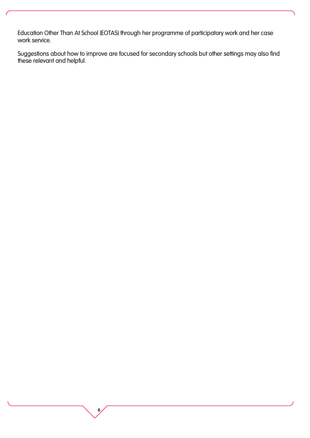Education Other Than At School (EOTAS) through her programme of participatory work and her case work service.

Suggestions about how to improve are focused for secondary schools but other settings may also find these relevant and helpful.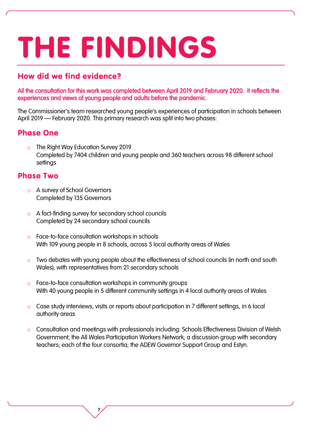## THE FINDINGS

#### How did we find evidence?

All the consultation for this work was completed between April 2019 and February 2020. It reflects the experiences and views of young people and adults before the pandemic.

The Commissioner's team researched young people's experiences of participation in schools between April 2019 – February 2020. This primary research was split into two phases:

#### Phase One

The Right Way Education Survey 2019 Completed by 7404 children and young people and 360 teachers across 98 different school settings

#### Phase Two

- o A survey of School Governors Completed by 135 Governors
- o A fact-finding survey for secondary school councils Completed by 24 secondary school councils

- o Face-to-face consultation workshops in schools With 109 young people in 8 schools, across 5 local authority areas of Wales
- o Two debates with young people about the effectiveness of school councils (in north and south Wales), with representatives from 21 secondary schools
- o Face-to-face consultation workshops in community groups With 40 young people in 5 different community settings in 4 local authority areas of Wales
- o Case study interviews, visits or reports about participation in 7 different settings, in 6 local authority areas
- o Consultation and meetings with professionals including: Schools Effectiveness Division of Welsh Government; the All Wales Participation Workers Network; a discussion group with secondary teachers; each of the four consortia; the ADEW Governor Support Group and Estyn.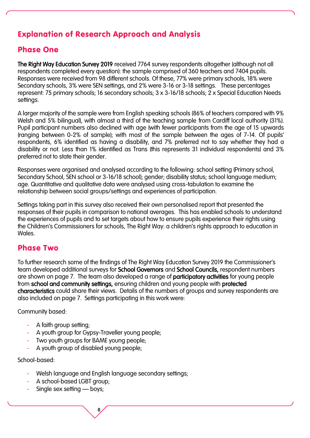#### Explanation of Research Approach and Analysis

#### Phase One

The Right Way Education Survey 2019 received 7764 survey respondents altogether (although not all respondents completed every question): the sample comprised of 360 teachers and 7404 pupils. Responses were received from 98 different schools. Of these, 77% were primary schools, 18% were Secondary schools, 3% were SEN settings, and 2% were 3-16 or 3-18 settings. These percentages represent: 75 primary schools; 16 secondary schools; 3 x 3-16/18 schools; 2 x Special Education Needs settings.

A larger majority of the sample were from English speaking schools (86% of teachers compared with 9% Welsh and 5% bilingual), with almost a third of the teaching sample from Cardiff local authority (31%). Pupil participant numbers also declined with age (with fewer participants from the age of 15 upwards (ranging between 0-2% of sample); with most of the sample between the ages of 7-14. Of pupils' respondents, 6% identified as having a disability, and 7% preferred not to say whether they had a disability or not. Less than 1% identified as Trans (this represents 31 individual respondents) and 3% preferred not to state their gender.

Responses were organised and analysed according to the following: school setting (Primary school, Secondary School, SEN school or 3-16/18 school); gender; disability status; school language medium; age. Quantitative and qualitative data were analysed using cross-tabulation to examine the relationship between social groups/settings and experiences of participation.

Settings taking part in this survey also received their own personalised report that presented the responses of their pupils in comparison to national averages. This has enabled schools to understand the experiences of pupils and to set targets about how to ensure pupils experience their rights using the Children's Commissioners for schools, The Right Way: a children's rights approach to education in Wales.

#### Phase Two

To further research some of the findings of The Right Way Education Survey 2019 the Commissioner's team developed additional surveys for **School Governors** and **School Councils**, respondent numbers are shown on page 7. The team also developed a range of participatory activities for young people from school and community settings, ensuring children and young people with protected characteristics could share their views. Details of the numbers of groups and survey respondents are also included on page 7. Settings participating in this work were:

Community based:

- A faith group setting;
- A youth group for Gypsy-Traveller young people;
- Two youth groups for BAME young people:
- A youth group of disabled young people;

School-based:

Welsh language and English language secondary settings;

- A school-based LGBT group;
- Single sex setting boys;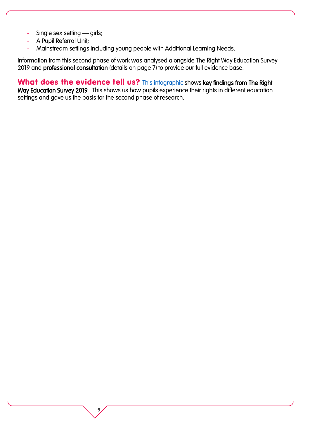- Single sex setting girls;
- A Pupil Referral Unit;
- Mainstream settings including young people with Additional Learning Needs.

9

Information from this second phase of work was analysed alongside The Right Way Education Survey 2019 and professional consultation (details on page 7) to provide our full evidence base.

What does the evidence tell us? This [infographic](https://www.childcomwales.org.uk/wp-content/uploads/2021/07/TRWE_FINAL.pdf) shows key findings from The Right Way Education Survey 2019. This shows us how pupils experience their rights in different education settings and gave us the basis for the second phase of research.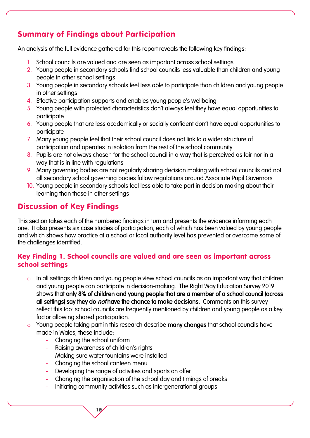#### Summary of Findings about Participation

An analysis of the full evidence gathered for this report reveals the following key findings:

- 1. School councils are valued and are seen as important across school settings
- 2. Young people in secondary schools find school councils less valuable than children and young people in other school settings
- 3. Young people in secondary schools feel less able to participate than children and young people in other settings
- 4. Effective participation supports and enables young people's wellbeing
- 5. Young people with protected characteristics don't always feel they have equal opportunities to participate
- 6. Young people that are less academically or socially confident don't have equal opportunities to participate
- 7. Many young people feel that their school council does not link to a wider structure of participation and operates in isolation from the rest of the school community
- 8. Pupils are not always chosen for the school council in a way that is perceived as fair nor in a way that is in line with regulations
- 9. Many governing bodies are not regularly sharing decision making with school councils and not all secondary school governing bodies follow regulations around Associate Pupil Governors
- 10. Young people in secondary schools feel less able to take part in decision making about their learning than those in other settings

#### Discussion of Key Findings

This section takes each of the numbered findings in turn and presents the evidence informing each one. It also presents six case studies of participation, each of which has been valued by young people and which shows how practice at a school or local authority level has prevented or overcome some of the challenges identified.

#### Key Finding 1. School councils are valued and are seen as important across school settings

- o In all settings children and young people view school councils as an important way that children and young people can participate in decision-making. The Right Way Education Survey 2019 shows that only 8% of children and young people that are a member of a school council (across all settings) say they do *not* have the chance to make decisions. Comments on this survey reflect this too: school councils are frequently mentioned by children and young people as a key factor allowing shared participation.
- o Young people taking part in this research describe many changes that school councils have made in Wales, these include:
	- Changing the school uniform
	- Raising awareness of children's rights
	- Making sure water fountains were installed
	- Changing the school canteen menu

- Developing the range of activities and sports on offer
- Changing the organisation of the school day and timings of breaks
- Initiating community activities such as intergenerational groups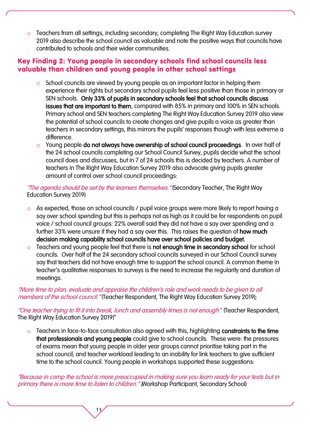o Teachers from all settings, including secondary, completing The Right Way Education survey 2019 also describe the school council as valuable and note the positive ways that councils have contributed to schools and their wider communities.

#### Key Finding 2: Young people in secondary schools find school councils less valuable than children and young people in other school settings

- o School councils are viewed by young people as an important factor in helping them experience their rights but secondary school pupils feel less positive than those in primary or SEN schools. Only 33% of pupils in secondary schools feel that school councils discuss issues that are important to them, compared with 85% in primary and 100% in SEN schools. Primary school and SEN teachers completing The Right Way Education Survey 2019 also view the potential of school councils to create changes and give pupils a voice as greater than teachers in secondary settings, this mirrors the pupils' responses though with less extreme a difference.
- o Young people do not always have ownership of school council proceedings. In over half of the 24 school councils completing our School Council Survey, pupils decide what the school council does and discusses, but in 7 of 24 schools this is decided by teachers. A number of teachers in The Right Way Education Survey 2019 also advocate giving pupils greater amount of control over school council proceedings:

"The agenda should be set by the learners themselves." (Secondary Teacher, The Right Way Education Survey 2019)

- o As expected, those on school councils / pupil voice groups were more likely to report having a say over school spending but this is perhaps not as high as it could be for respondents on pupil voice / school council groups: 22% overall said they did not have a say over spending and a further 33% were unsure if they had a say over this. This raises the question of **how much** decision making capability school councils have over school policies and budget.
- o Teachers and young people feel that there is not enough time in secondary school for school councils. Over half of the 24 secondary school councils surveyed in our School Council survey say that teachers did not have enough time to support the school council. A common theme in teacher's qualitative responses to surveys is the need to increase the regularity and duration of meetings.

"More time to plan, evaluate and appraise the children's role and work needs to be given to all members of the school council. "(Teacher Respondent, The Right Way Education Survey 2019);

"One teacher trying to fit it into break, lunch and assembly times is not enough." (Teacher Respondent, The Right Way Education Survey 2019)"

Teachers in face-to-face consultation also agreed with this, highlighting constraints to the time that professionals and young people could give to school councils. These were: the pressures of exams mean that young people in older year groups cannot prioritise taking part in the school council; and teacher workload leading to an inability for link teachers to give sufficient time to the school council. Young people in workshops supported these suggestions:

"Because in comp the school is more preoccupied in making sure you learn ready for your tests but in primary there is more time to listen to children." (Workshop Participant, Secondary School)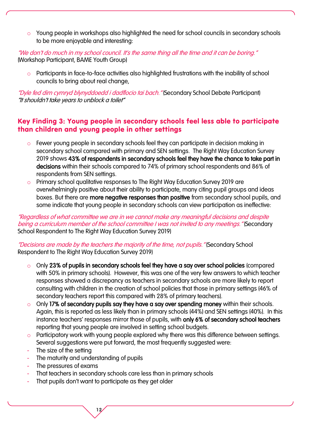o Young people in workshops also highlighted the need for school councils in secondary schools to be more enjoyable and interesting:

"We don't do much in my school council. It's the same thing all the time and it can be boring." (Workshop Participant, BAME Youth Group)

o Participants in face-to-face activities also highlighted frustrations with the inability of school councils to bring about real change,

"Dyle fed dim cymryd blynyddoedd i dadflocio tai bach." (Secondary School Debate Participant) "It shouldn't take years to unblock a toilet"

#### Key Finding 3: Young people in secondary schools feel less able to participate than children and young people in other settings

- o Fewer young people in secondary schools feel they can participate in decision making in secondary school compared with primary and SEN settings. The Right Way Education Survey 2019 shows 43% of respondents in secondary schools feel they have the chance to take part in decisions within their schools compared to 74% of primary school respondents and 86% of respondents from SEN settings.
- o Primary school qualitative responses to The Right Way Education Survey 2019 are overwhelmingly positive about their ability to participate, many citing pupil groups and ideas boxes. But there are more negative responses than positive from secondary school pupils, and some indicate that young people in secondary schools can view participation as ineffective:

"Regardless of what committee we are in we cannot make any meaningful decisions and despite being a curriculum member of the school committee I was not invited to any meetings." (Secondary School Respondent to The Right Way Education Survey 2019)

"Decisions are made by the teachers the majority of the time, not pupils." (Secondary School Respondent to The Right Way Education Survey 2019)

- o Only 23% of pupils in secondary schools feel they have a say over school policies (compared with 50% in primary schools). However, this was one of the very few answers to which teacher responses showed a discrepancy as teachers in secondary schools are more likely to report consulting with children in the creation of school policies that those in primary settings (46% of secondary teachers report this compared with 28% of primary teachers).
- o Only 17% of secondary pupils say they have a say over spending money within their schools. Again, this is reported as less likely than in primary schools (44%) and SEN settings (40%). In this instance teachers' responses mirror those of pupils, with only 6% of secondary school teachers reporting that young people are involved in setting school budgets.
- o Participatory work with young people explored why there was this difference between settings. Several suggestions were put forward, the most frequently suggested were:
- The size of the setting
- The maturity and understanding of pupils
- The pressures of exams
- That teachers in secondary schools care less than in primary schools
- That pupils don't want to participate as they get older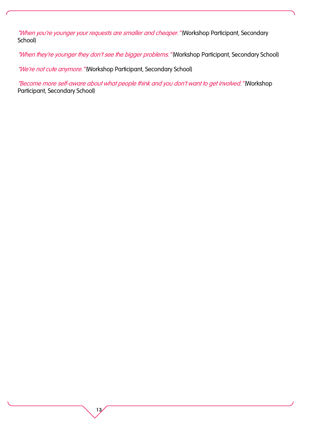"When you're younger your requests are smaller and cheaper." (Workshop Participant, Secondary School)

"When they're younger they don't see the bigger problems." (Workshop Participant, Secondary School)

"We're not cute anymore. "(Workshop Participant, Secondary School)

13

"Become more self-aware about what people think and you don't want to get involved." (Workshop Participant, Secondary School)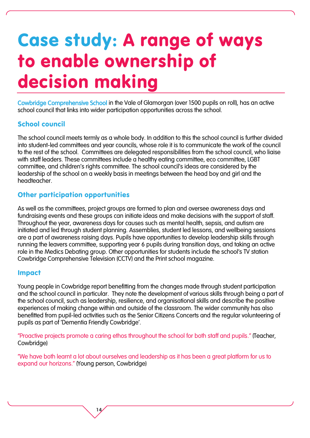## Case study: A range of ways to enable ownership of decision making

Cowbridge Comprehensive School in the Vale of Glamorgan (over 1500 pupils on roll), has an active school council that links into wider participation opportunities across the school.

#### School council

The school council meets termly as a whole body. In addition to this the school council is further divided into student-led committees and year councils, whose role it is to communicate the work of the council to the rest of the school. Committees are delegated responsibilities from the school council, who liaise with staff leaders. These committees include a healthy eating committee, eco committee, LGBT committee, and children's rights committee. The school council's ideas are considered by the leadership of the school on a weekly basis in meetings between the head boy and girl and the headteacher.

#### Other participation opportunities

As well as the committees, project groups are formed to plan and oversee awareness days and fundraising events and these groups can initiate ideas and make decisions with the support of staff. Throughout the year, awareness days for causes such as mental health, sepsis, and autism are initiated and led through student planning. Assemblies, student led lessons, and wellbeing sessions are a part of awareness raising days. Pupils have opportunities to develop leadership skills through running the leavers committee, supporting year 6 pupils during transition days, and taking an active role in the Medics Debating group. Other opportunities for students include the school's TV station Cowbridge Comprehensive Television (CCTV) and the Print school magazine.

#### Impact

Young people in Cowbridge report benefitting from the changes made through student participation and the school council in particular. They note the development of various skills through being a part of the school council, such as leadership, resilience, and organisational skills and describe the positive experiences of making change within and outside of the classroom. The wider community has also benefitted from pupil-led activities such as the Senior Citizens Concerts and the regular volunteering of pupils as part of 'Dementia Friendly Cowbridge'.

"Proactive projects promote a caring ethos throughout the school for both staff and pupils." (Teacher, Cowbridge)

"We have both learnt a lot about ourselves and leadership as it has been a great platform for us to expand our horizons." (Young person, Cowbridge)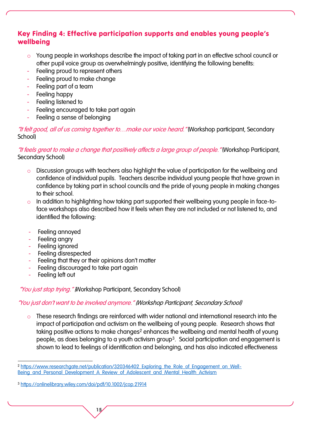#### Key Finding 4: Effective participation supports and enables young people's wellbeing

- o Young people in workshops describe the impact of taking part in an effective school council or other pupil voice group as overwhelmingly positive, identifying the following benefits:
- Feeling proud to represent others
- Feeling proud to make change
- Feeling part of a team
- Feeling happy
- Feeling listened to
- Feeling encouraged to take part again
- Feeling a sense of belonging

"It felt good, all of us coming together to…make our voice heard." (Workshop participant, Secondary School)

"It feels great to make a change that positively affects a large group of people." (Workshop Participant, Secondary School)

- o Discussion groups with teachers also highlight the value of participation for the wellbeing and confidence of individual pupils. Teachers describe individual young people that have grown in confidence by taking part in school councils and the pride of young people in making changes to their school.
- o In addition to highlighting how taking part supported their wellbeing young people in face-toface workshops also described how it feels when they are not included or not listened to, and identified the following:
- Feeling annoyed
- Feeling angry
- Feeling ignored
- Feeling disrespected
- Feeling that they or their opinions don't matter
- Feeling discouraged to take part again
- Feeling left out

"You just stop trying." (Workshop Participant, Secondary School)

#### "You just don't want to be involved anymore." (Workshop Participant, Secondary School)

o These research findings are reinforced with wider national and international research into the impact of participation and activism on the wellbeing of young people. Research shows that taking positive actions to make changes<sup>2</sup> enhances the wellbeing and mental health of young people, as does belonging to a youth activism group<sup>3</sup>. Social participation and engagement is shown to lead to feelings of identification and belonging, and has also indicated effectiveness

 $\overline{a}$ <sup>2</sup> https://www.researchgate.net/publication/320346402 Exploring\_the\_Role\_of\_Engagement\_on\_Well-[Being\\_and\\_Personal\\_Development\\_A\\_Review\\_of\\_Adolescent\\_and\\_Mental\\_Health\\_Activism](https://www.researchgate.net/publication/320346402_Exploring_the_Role_of_Engagement_on_Well-Being_and_Personal_Development_A_Review_of_Adolescent_and_Mental_Health_Activism)

<sup>3</sup> <https://onlinelibrary.wiley.com/doi/pdf/10.1002/jcop.21914>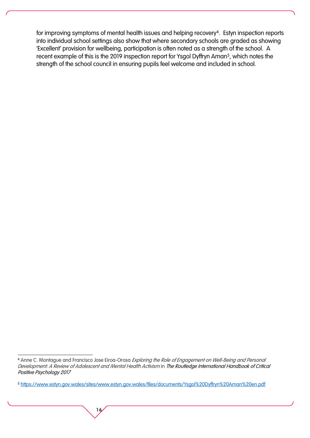for improving symptoms of mental health issues and helping recovery<sup>4</sup>. Estyn inspection reports into individual school settings also show that where secondary schools are graded as showing 'Excellent' provision for wellbeing, participation is often noted as a strength of the school. A recent example of this is the 2019 inspection report for Ysgol Dyffryn Aman<sup>5</sup>, which notes the strength of the school council in ensuring pupils feel welcome and included in school.

 $\overline{a}$ 4 Anne C. Montague and Francisco Jose Eiroa-Orosa Exploring the Role of Engagement on Well-Being and Personal Development: A Review of Adolescent and Mental Health Activism in The Routledge International Handbook of Critical Positive Psychology 2017

<sup>5</sup> <https://www.estyn.gov.wales/sites/www.estyn.gov.wales/files/documents/Ysgol%20Dyffryn%20Aman%20en.pdf>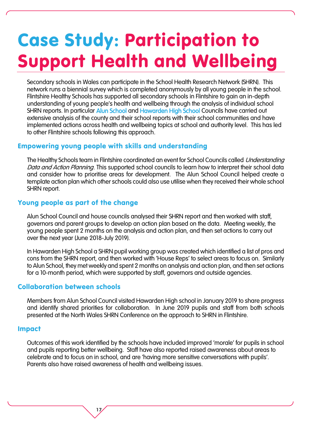### Case Study: Participation to Support Health and Wellbeing

Secondary schools in Wales can participate in the School Health Research Network (SHRN). This network runs a biennial survey which is completed anonymously by all young people in the school. Flintshire Healthy Schools has supported all secondary schools in Flintshire to gain an in-depth understanding of young people's health and wellbeing through the analysis of individual school SHRN reports. In particular Alun School and Hawarden High School Councils have carried out extensive analysis of the county and their school reports with their school communities and have implemented actions across health and wellbeing topics at school and authority level. This has led to other Flintshire schools following this approach.

#### Empowering young people with skills and understanding

The Healthy Schools team in Flintshire coordinated an event for School Councils called Understanding Data and Action Planning. This supported school councils to learn how to interpret their school data and consider how to prioritise areas for development. The Alun School Council helped create a template action plan which other schools could also use utilise when they received their whole school SHRN report.

#### Young people as part of the change

Alun School Council and house councils analysed their SHRN report and then worked with staff, governors and parent groups to develop an action plan based on the data. Meeting weekly, the young people spent 2 months on the analysis and action plan, and then set actions to carry out over the next year (June 2018-July 2019).

In Hawarden High School a SHRN pupil working group was created which identified a list of pros and cons from the SHRN report, and then worked with 'House Reps' to select areas to focus on. Similarly to Alun School, they met weekly and spent 2 months on analysis and action plan, and then set actions for a 10-month period, which were supported by staff, governors and outside agencies.

#### Collaboration between schools

17

Members from Alun School Council visited Hawarden High school in January 2019 to share progress and identify shared priorities for collaboration. In June 2019 pupils and staff from both schools presented at the North Wales SHRN Conference on the approach to SHRN in Flintshire.

#### Impact

Outcomes of this work identified by the schools have included improved 'morale' for pupils in school and pupils reporting better wellbeing. Staff have also reported raised awareness about areas to celebrate and to focus on in school, and are 'having more sensitive conversations with pupils'. Parents also have raised awareness of health and wellbeing issues.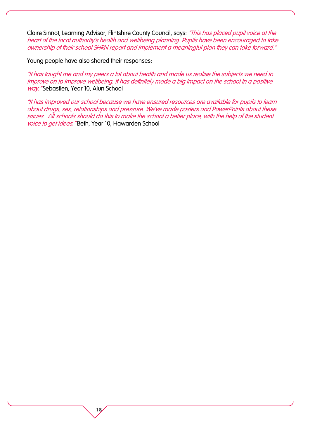Claire Sinnot, Learning Advisor, Flintshire County Council, says: "This has placed pupil voice at the heart of the local authority's health and wellbeing planning. Pupils have been encouraged to take ownership of their school SHRN report and implement a meaningful plan they can take forward."

Young people have also shared their responses:

18

"It has taught me and my peers a lot about health and made us realise the subjects we need to improve on to improve wellbeing. It has definitely made a big impact on the school in a positive way." Sebastien, Year 10, Alun School

"It has improved our school because we have ensured resources are available for pupils to learn about drugs, sex, relationships and pressure. We've made posters and PowerPoints about these issues. All schools should do this to make the school a better place, with the help of the student voice to get ideas." Beth, Year 10, Hawarden School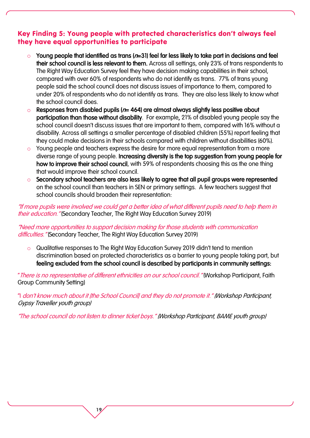#### Key Finding 5: Young people with protected characteristics don't always feel they have equal opportunities to participate

- Young people that identified as trans  $(n=31)$  feel far less likely to take part in decisions and feel their school council is less relevant to them. Across all settings, only 23% of trans respondents to The Right Way Education Survey feel they have decision making capabilities in their school, compared with over 60% of respondents who do not identify as trans. 77% of trans young people said the school council does not discuss issues of importance to them, compared to under 20% of respondents who do not identify as trans. They are also less likely to know what the school council does.
- $\circ$  Responses from disabled pupils ( $n= 464$ ) are almost always slightly less positive about participation than those without disability. For example, 21% of disabled young people say the school council doesn't discuss issues that are important to them, compared with 16% without a disability. Across all settings a smaller percentage of disabled children (55%) report feeling that they could make decisions in their schools compared with children without disabilities (60%).
- Young people and teachers express the desire for more equal representation from a more diverse range of young people. Increasing diversity is the top suggestion from young people for how to improve their school council, with 59% of respondents choosing this as the one thing that would improve their school council.
- Secondary school teachers are also less likely to agree that all pupil groups were represented on the school council than teachers in SEN or primary settings. A few teachers suggest that school councils should broaden their representation:

"If more pupils were involved we could get a better idea of what different pupils need to help them in their education." (Secondary Teacher, The Right Way Education Survey 2019)

"Need more opportunities to support decision making for those students with communication difficulties. "(Secondary Teacher, The Right Way Education Survey 2019)

o Qualitative responses to The Right Way Education Survey 2019 didn't tend to mention discrimination based on protected characteristics as a barrier to young people taking part, but feeling excluded from the school council is described by participants in community settings:

"There is no representative of different ethnicities on our school council." (Workshop Participant, Faith Group Community Setting)

"I don't know much about it [the School Council] and they do not promote it." (Workshop Participant, Gypsy Traveller youth group)

"The school council do not listen to dinner ticket boys." (Workshop Participant, BAME youth group)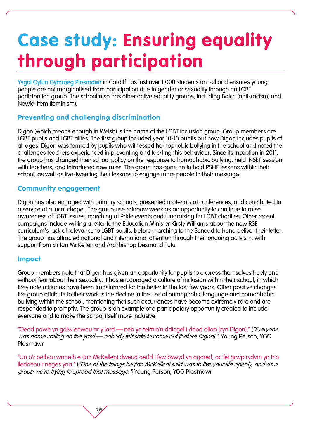### Case study: Ensuring equality through participation

Ysgol Gyfun Gymraeg Plasmawr in Cardiff has just over 1,000 students on roll and ensures young people are not marginalised from participation due to gender or sexuality through an LGBT participation group. The school also has other active equality groups, including Balch (anti-racism) and Newid-ffem (feminism).

#### Preventing and challenging discrimination

Digon (which means enough in Welsh) is the name of the LGBT inclusion group. Group members are LGBT pupils and LGBT allies. The first group included year 10-13 pupils but now Digon includes pupils of all ages. Digon was formed by pupils who witnessed homophobic bullying in the school and noted the challenges teachers experienced in preventing and tackling this behaviour. Since its inception in 2011, the group has changed their school policy on the response to homophobic bullying, held INSET session with teachers, and introduced new rules. The group has gone on to hold PSHE lessons within their school, as well as live-tweeting their lessons to engage more people in their message.

#### Community engagement

Digon has also engaged with primary schools, presented materials at conferences, and contributed to a service at a local chapel. The group use rainbow week as an opportunity to continue to raise awareness of LGBT issues, marching at Pride events and fundraising for LGBT charities. Other recent campaigns include writing a letter to the Education Minister Kirsty Williams about the new RSE curriculum's lack of relevance to LGBT pupils, before marching to the Senedd to hand deliver their letter. The group has attracted national and international attention through their ongoing activism, with support from Sir Ian McKellen and Archbishop Desmond Tutu.

#### Impact

Group members note that Digon has given an opportunity for pupils to express themselves freely and without fear about their sexuality. It has encouraged a culture of inclusion within their school, in which they note attitudes have been transformed for the better in the last few years. Other positive changes the group attribute to their work is the decline in the use of homophobic language and homophobic bullying within the school, mentioning that such occurrences have become extremely rare and are responded to promptly. The group is an example of a participatory opportunity created to include everyone and to make the school itself more inclusive.

"Oedd pawb yn galw enwau ar y iard — neb yn teimlo'n ddiogel i ddod allan (cyn Digon)." ("Everyone was name calling on the yard — nobody felt safe to come out (before Digon). I Young Person, YGG Plasmawr

"Un o'r pethau wnaeth e (Ian McKellen) dweud oedd i fyw bywyd yn agored, ac fel grŵp rydym yn trio lledaenu'r neges yna." ("One of the things he (Ian McKellen) said was to live your life openly, and as a group we're trying to spread that message.") Young Person, YGG Plasmawr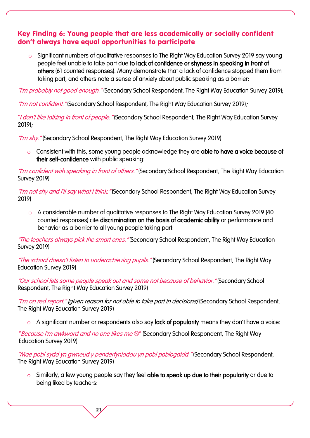#### Key Finding 6: Young people that are less academically or socially confident don't always have equal opportunities to participate

Significant numbers of qualitative responses to The Right Way Education Survey 2019 say young people feel unable to take part due to lack of confidence or shyness in speaking in front of others (61 counted responses). Many demonstrate that a lack of confidence stopped them from taking part, and others note a sense of anxiety about public speaking as a barrier:

"I'm probably not good enough." (Secondary School Respondent, The Right Way Education Survey 2019);

"I'm not confident." (Secondary School Respondent, The Right Way Education Survey 2019):

"I don't like talking in front of people. "(Secondary School Respondent, The Right Way Education Survey 2019);

"I'm shy." (Secondary School Respondent, The Right Way Education Survey 2019)

o Consistent with this, some young people acknowledge they are able to have a voice because of their self-confidence with public speaking:

"I'm confident with speaking in front of others." (Secondary School Respondent, The Right Way Education) Survey 2019)

"I'm not shy and I'll say what I think." (Secondary School Respondent, The Right Way Education Survey 2019)

o A considerable number of qualitative responses to The Right Way Education Survey 2019 (40 counted responses) cite discrimination on the basis of academic ability or performance and behavior as a barrier to all young people taking part:

"The teachers always pick the smart ones." (Secondary School Respondent, The Right Way Education Survey 2019)

"The school doesn't listen to underachieving pupils." (Secondary School Respondent, The Right Way Education Survey 2019)

"Our school lets some people speak out and some not because of behavior." (Secondary School Respondent, The Right Way Education Survey 2019)

"I'm on red report." [given reason for not able to take part in decisions] (Secondary School Respondent, The Right Way Education Survey 2019)

o A significant number or respondents also say lack of popularity means they don't have a voice:

"Because I'm awkward and no one likes me  $\odot$ " (Secondary School Respondent, The Right Way Education Survey 2019)

21

"Mae pobl sydd yn gwneud y penderfyniadau yn pobl poblogaidd." (Secondary School Respondent, The Right Way Education Survey 2019)

o Similarly, a few young people say they feel able to speak up due to their popularity or due to being liked by teachers: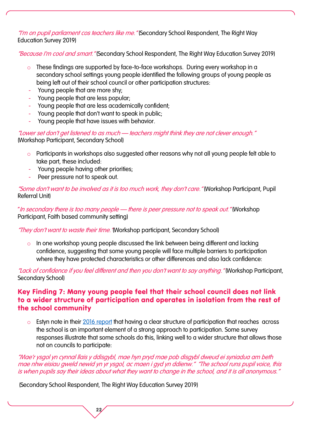"I'm on pupil parliament cos teachers like me." (Secondary School Respondent, The Right Way Education Survey 2019)

"Because I'm cool and smart." (Secondary School Respondent, The Right Way Education Survey 2019)

- o These findings are supported by face-to-face workshops. During every workshop in a secondary school settings young people identified the following groups of young people as being left out of their school council or other participation structures:
- Young people that are more shy;
- Young people that are less popular;
- Young people that are less academically confident;
- Young people that don't want to speak in public;
- Young people that have issues with behavior.

"Lower set don't get listened to as much – teachers might think they are not clever enough." (Workshop Participant, Secondary School)

- o Participants in workshops also suggested other reasons why not all young people felt able to take part, these included:
- Young people having other priorities;
- Peer pressure not to speak out.

"Some don't want to be involved as it is too much work, they don't care." (Workshop Participant, Pupil Referral Unit)

"In secondary there is too many people – there is peer pressure not to speak out." (Workshop Participant, Faith based community setting)

"They don't want to waste their time. "(Workshop participant, Secondary School)

o In one workshop young people discussed the link between being different and lacking confidence, suggesting that some young people will face multiple barriers to participation where they have protected characteristics or other differences and also lack confidence:

"Lack of confidence if you feel different and then you don't want to say anything." (Workshop Participant, Secondary School)

#### Key Finding 7: Many young people feel that their school council does not link to a wider structure of participation and operates in isolation from the rest of the school community

o Estyn note in their [2016 report](https://www.estyn.gov.wales/thematic-reports/pupil-participation-best-practice-guide) that having a clear structure of participation that reaches across the school is an important element of a strong approach to participation. Some survey responses illustrate that some schools do this, linking well to a wider structure that allows those not on councils to participate:

"Mae'r ysgol yn cynnal llais y ddisgybl, mae hyn pryd mae pob disgybl dweud ei syniadua am beth mae nhw eisiau gweld newid yn yr ysgol, ac maen i gyd yn ddienw." "The school runs pupil voice, this is when pupils say their ideas about what they want to change in the school, and it is all anonymous."

(Secondary School Respondent, The Right Way Education Survey 2019)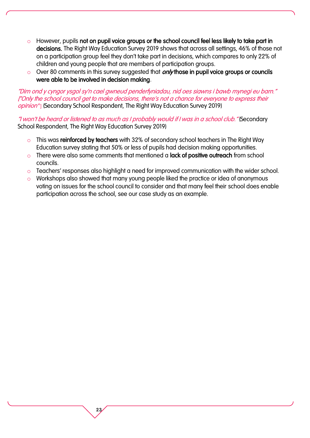- $\circ$  However, pupils not on pupil voice groups or the school council feel less likely to take part in decisions. The Right Way Education Survey 2019 shows that across all settings, 46% of those not on a participation group feel they don't take part in decisions, which compares to only 22% of children and young people that are members of participation groups.
- $\circ$  Over 80 comments in this survey suggested that *only* those in pupil voice groups or councils were able to be involved in decision making.

"Dim ond y cyngor ysgol sy'n cael gwneud penderfyniadau, nid oes siawns i bawb mynegi eu barn." ["Only the school council get to make decisions, there's not a chance for everyone to express their opinion'"] (Secondary School Respondent, The Right Way Education Survey 2019)

"I won't be heard or listened to as much as I probably would if I was in a school club." (Secondary School Respondent, The Right Way Education Survey 2019)

- o This was reinforced by teachers with 32% of secondary school teachers in The Right Way Education survey stating that 50% or less of pupils had decision making opportunities.
- o There were also some comments that mentioned a **lack of positive outreach** from school councils.

- $\circ$  Teachers' responses also highlight a need for improved communication with the wider school.
- o Workshops also showed that many young people liked the practice or idea of anonymous voting on issues for the school council to consider and that many feel their school does enable participation across the school, see our case study as an example.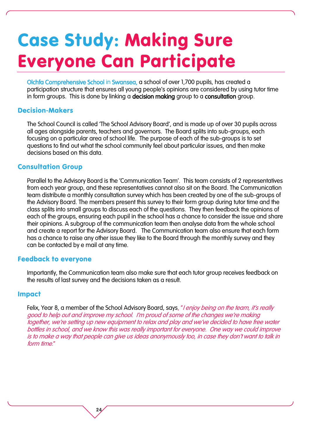### Case Study: Making Sure Everyone Can Participate

Olchfa Comprehensive School in Swansea, a school of over 1,700 pupils, has created a participation structure that ensures all young people's opinions are considered by using tutor time in form groups. This is done by linking a decision making group to a consultation group.

#### Decision-Makers

The School Council is called 'The School Advisory Board', and is made up of over 30 pupils across all ages alongside parents, teachers and governors. The Board splits into sub-groups, each focusing on a particular area of school life. The purpose of each of the sub-groups is to set questions to find out what the school community feel about particular issues, and then make decisions based on this data.

#### Consultation Group

Parallel to the Advisory Board is the 'Communication Team'. This team consists of 2 representatives from each year group, and these representatives cannot also sit on the Board. The Communication team distribute a monthly consultation survey which has been created by one of the sub-groups of the Advisory Board. The members present this survey to their form group during tutor time and the class splits into small groups to discuss each of the questions. They then feedback the opinions of each of the groups, ensuring each pupil in the school has a chance to consider the issue and share their opinions. A subgroup of the communication team then analyse data from the whole school and create a report for the Advisory Board. The Communication team also ensure that each form has a chance to raise any other issue they like to the Board through the monthly survey and they can be contacted by e mail at any time.

#### Feedback to everyone

Importantly, the Communication team also make sure that each tutor group receives feedback on the results of last survey and the decisions taken as a result.

#### Impact

Felix, Year 8, a member of the School Advisory Board, says, "I enjoy being on the team, it's really good to help out and improve my school. I'm proud of some of the changes we're making together, we're setting up new equipment to relax and play and we've decided to have free water bottles in school, and we know this was really important for everyone. One way we could improve is to make a way that people can give us ideas anonymously too, in case they don't want to talk in form time."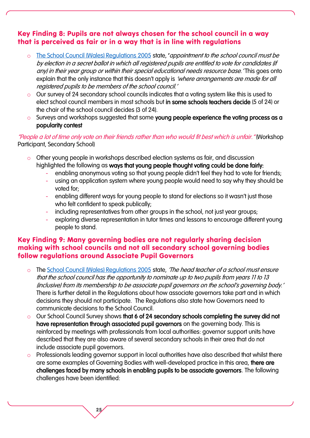#### Key Finding 8: Pupils are not always chosen for the school council in a way that is perceived as fair or in a way that is in line with regulations

- o [The School Council \(Wales\) Regulations 2005](http://www.legislation.gov.uk/wsi/2005/3200/regulation/1/made) state, 'appointment to the school council must be by election in a secret ballot in which all registered pupils are entitled to vote for candidates (if any) in their year group or within their special educational needs resource base.' This goes onto explain that the only instance that this doesn't apply is *'where arrangements are made for all* registered pupils to be members of the school council.'
- o Our survey of 24 secondary school councils indicates that a voting system like this is used to elect school council members in most schools but in some schools teachers decide (5 of 24) or the chair of the school council decides (3 of 24).
- o Surveys and workshops suggested that some young people experience the voting process as a popularity contest

#### "People a lot of time only vote on their friends rather than who would fit best which is unfair." (Workshop Participant, Secondary School)

- o Other young people in workshops described election systems as fair, and discussion highlighted the following as ways that young people thought voting could be done fairly:
	- enabling anonymous voting so that young people didn't feel they had to vote for friends;
	- using an application system where young people would need to say why they should be voted for;
	- enabling different ways for young people to stand for elections so it wasn't just those who felt confident to speak publically;
	- including representatives from other groups in the school, not just year groups;
	- exploring diverse representation in tutor times and lessons to encourage different young people to stand.

#### Key Finding 9: Many governing bodies are not regularly sharing decision making with school councils and not all secondary school governing bodies follow regulations around Associate Pupil Governors

- o The [School Council \(Wales\) Regulations 2005](http://www.legislation.gov.uk/wsi/2005/3200/regulation/1/made) state, *The head teacher of a school must ensure* that the school council has the opportunity to nominate up to two pupils from years 11 to 13 (inclusive) from its membership to be associate pupil governors on the school's governing body.' There is further detail in the Regulations about how associate governors take part and in which decisions they should not participate. The Regulations also state how Governors need to communicate decisions to the School Council.
- o Our School Council Survey shows that 6 of 24 secondary schools completing the survey did not have representation through associated pupil governors on the governing body. This is reinforced by meetings with professionals from local authorities: governor support units have described that they are also aware of several secondary schools in their area that do not include associate pupil governors.
- o Professionals leading governor support in local authorities have also described that whilst there are some examples of Governing Bodies with well-developed practice in this area, there are challenges faced by many schools in enabling pupils to be associate governors. The following challenges have been identified: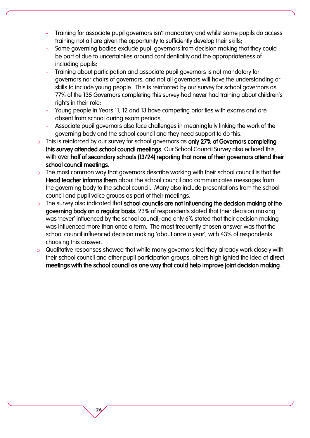- Training for associate pupil governors isn't mandatory and whilst some pupils do access training not all are given the opportunity to sufficiently develop their skills;
- Some governing bodies exclude pupil governors from decision making that they could be part of due to uncertainties around confidentiality and the appropriateness of including pupils;
- Training about participation and associate pupil governors is not mandatory for governors nor chairs of governors, and not all governors will have the understanding or skills to include young people. This is reinforced by our survey for school governors as 77% of the 135 Governors completing this survey had never had training about children's rights in their role;
- Young people in Years 11, 12 and 13 have competing priorities with exams and are absent from school during exam periods;
- Associate pupil governors also face challenges in meaningfully linking the work of the governing body and the school council and they need support to do this.
- o This is reinforced by our survey for school governors as only 27% of Governors completing this survey attended school council meetings. Our School Council Survey also echoed this, with over half of secondary schools (13/24) reporting that none of their governors attend their school council meetings.
- o The most common way that governors describe working with their school council is that the Head teacher informs them about the school council and communicates messages from the governing body to the school council. Many also include presentations from the school council and pupil voice groups as part of their meetings.
- o The survey also indicated that school councils are not influencing the decision making of the governing body on a regular basis. 23% of respondents stated that their decision making was 'never' influenced by the school council; and only 6% stated that their decision making was influenced more than once a term. The most frequently chosen answer was that the school council influenced decision making 'about once a year', with 43% of respondents choosing this answer.
- o Qualitative responses showed that while many governors feel they already work closely with their school council and other pupil participation groups, others highlighted the idea of direct meetings with the school council as one way that could help improve joint decision making.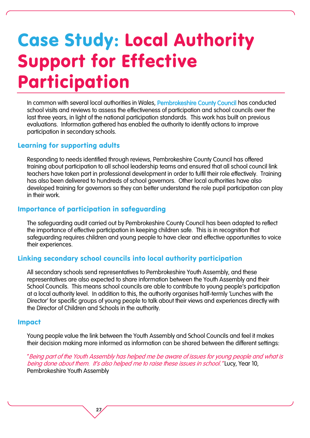## Case Study: Local Authority Support for Effective Participation

In common with several local authorities in Wales, Pembrokeshire County Council has conducted school visits and reviews to assess the effectiveness of participation and school councils over the last three years, in light of the national participation standards. This work has built on previous evaluations. Information gathered has enabled the authority to identify actions to improve participation in secondary schools.

#### Learning for supporting adults

Responding to needs identified through reviews, Pembrokeshire County Council has offered training about participation to all school leadership teams and ensured that all school council link teachers have taken part in professional development in order to fulfil their role effectively. Training has also been delivered to hundreds of school governors. Other local authorities have also developed training for governors so they can better understand the role pupil participation can play in their work.

#### Importance of participation in safeguarding

27

The safeguarding audit carried out by Pembrokeshire County Council has been adapted to reflect the importance of effective participation in keeping children safe. This is in recognition that safeguarding requires children and young people to have clear and effective opportunities to voice their experiences.

#### Linking secondary school councils into local authority participation

All secondary schools send representatives to Pembrokeshire Youth Assembly, and these representatives are also expected to share information between the Youth Assembly and their School Councils. This means school councils are able to contribute to young people's participation at a local authority level. In addition to this, the authority organises half-termly 'Lunches with the Director' for specific groups of young people to talk about their views and experiences directly with the Director of Children and Schools in the authority.

#### Impact

Young people value the link between the Youth Assembly and School Councils and feel it makes their decision making more informed as information can be shared between the different settings:

"Being part of the Youth Assembly has helped me be aware of issues for young people and what is being done about them. It's also helped me to raise these issues in school. "Lucy, Year 10, Pembrokeshire Youth Assembly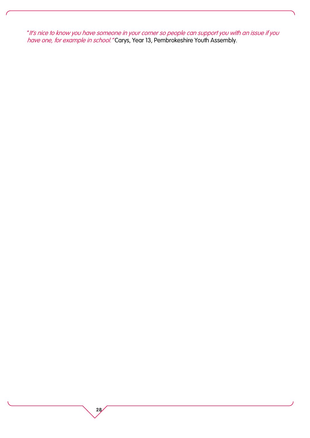"It's nice to know you have someone in your corner so people can support you with an issue if you *have one, for example in school."* Carys, Year 13, Pembrokeshire Youth Assembly.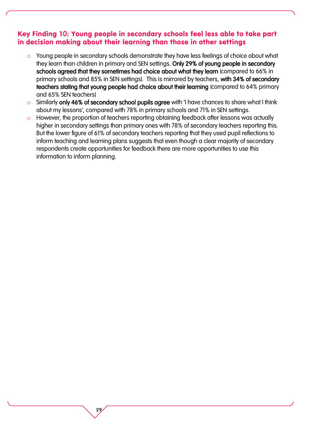#### Key Finding 10: Young people in secondary schools feel less able to take part in decision making about their learning than those in other settings

- o Young people in secondary schools demonstrate they have less feelings of choice about what they learn than children in primary and SEN settings. Only 29% of young people in secondary schools agreed that they sometimes had choice about what they learn (compared to 66% in primary schools and 85% in SEN settings). This is mirrored by teachers, with 34% of secondary teachers stating that young people had choice about their learning (compared to 64% primary and 65% SEN teachers)
- o Similarly only 46% of secondary school pupils agree with 'I have chances to share what I think about my lessons', compared with 78% in primary schools and 71% in SEN settings.
- However, the proportion of teachers reporting obtaining feedback after lessons was actually higher in secondary settings than primary ones with 78% of secondary teachers reporting this. But the lower figure of 61% of secondary teachers reporting that they used pupil reflections to inform teaching and learning plans suggests that even though a clear majority of secondary respondents create opportunities for feedback there are more opportunities to use this information to inform planning.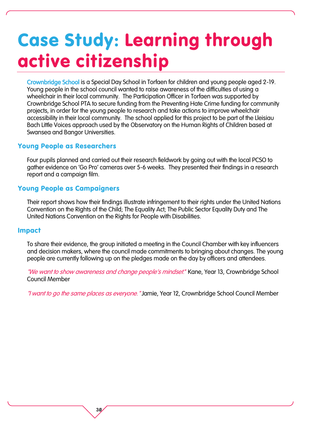### Case Study: Learning through active citizenship

Crownbridge School is a Special Day School in Torfaen for children and young people aged 2-19. Young people in the school council wanted to raise awareness of the difficulties of using a wheelchair in their local community. The Participation Officer in Torfaen was supported by Crownbridge School PTA to secure funding from the Preventing Hate Crime funding for community projects, in order for the young people to research and take actions to improve wheelchair accessibility in their local community. The school applied for this project to be part of the Lleisiau Bach Little Voices approach used by the Observatory on the Human Rights of Children based at Swansea and Bangor Universities.

#### Young People as Researchers

Four pupils planned and carried out their research fieldwork by going out with the local PCSO to gather evidence on 'Go Pro' cameras over 5-6 weeks. They presented their findings in a research report and a campaign film.

#### Young People as Campaigners

Their report shows how their findings illustrate infringement to their rights under the United Nations Convention on the Rights of the Child; The Equality Act; The Public Sector Equality Duty and The United Nations Convention on the Rights for People with Disabilities.

#### Impact

To share their evidence, the group initiated a meeting in the Council Chamber with key influencers and decision makers, where the council made commitments to bringing about changes. The young people are currently following up on the pledges made on the day by officers and attendees.

"We want to show awareness and change people's mindset." Kane, Year 13, Crownbridge School Council Member

"I want to go the same places as everyone. "Jamie, Year 12, Crownbridge School Council Member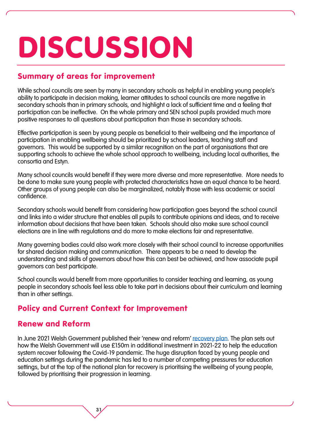## DISCUSSION

#### Summary of areas for improvement

While school councils are seen by many in secondary schools as helpful in enabling young people's ability to participate in decision making, learner attitudes to school councils are more negative in secondary schools than in primary schools, and highlight a lack of sufficient time and a feeling that participation can be ineffective. On the whole primary and SEN school pupils provided much more positive responses to all questions about participation than those in secondary schools.

Effective participation is seen by young people as beneficial to their wellbeing and the importance of participation in enabling wellbeing should be prioritized by school leaders, teaching staff and governors. This would be supported by a similar recognition on the part of organisations that are supporting schools to achieve the whole school approach to wellbeing, including local authorities, the consortia and Estyn.

Many school councils would benefit if they were more diverse and more representative. More needs to be done to make sure young people with protected characteristics have an equal chance to be heard. Other groups of young people can also be marginalized, notably those with less academic or social confidence.

Secondary schools would benefit from considering how participation goes beyond the school council and links into a wider structure that enables all pupils to contribute opinions and ideas, and to receive information about decisions that have been taken. Schools should also make sure school council elections are in line with regulations and do more to make elections fair and representative.

Many governing bodies could also work more closely with their school council to increase opportunities for shared decision making and communication. There appears to be a need to develop the understanding and skills of governors about how this can best be achieved, and how associate pupil governors can best participate.

School councils would benefit from more opportunities to consider teaching and learning, as young people in secondary schools feel less able to take part in decisions about their curriculum and learning than in other settings.

#### Policy and Current Context for Improvement

31

#### Renew and Reform

In June 2021 Welsh Government published their 'renew and reform' [recovery plan.](https://gov.wales/renew-and-reform-supporting-learners-wellbeing-and-progression) The plan sets out how the Welsh Government will use £150m in additional investment in 2021-22 to help the education system recover following the Covid-19 pandemic. The huge disruption faced by young people and education settings during the pandemic has led to a number of competing pressures for education settings, but at the top of the national plan for recovery is prioritising the wellbeing of young people, followed by prioritising their progression in learning.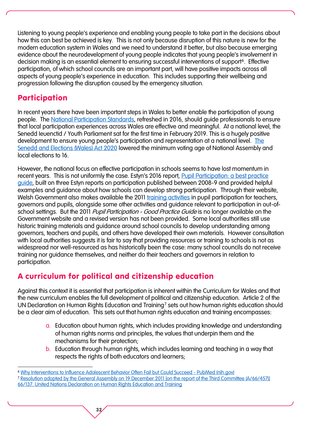Listening to young people's experience and enabling young people to take part in the decisions about how this can best be achieved is key. This is not only because disruption of this nature is new for the modern education system in Wales and we need to understand it better, but also because emerging evidence about the neurodevelopment of young people indicates that young people's involvement in decision making is an essential element to ensuring successful interventions of support<sup>6</sup>. Effective participation, of which school councils are an important part, will have positive impacts across all aspects of young people's experience in education. This includes supporting their wellbeing and progression following the disruption caused by the emergency situation.

#### Participation

 $\overline{a}$ 

In recent years there have been important steps in Wales to better enable the participation of young people. The [National Participation Standards,](https://www.childreninwales.org.uk/our-work/participation/participation-standards/) refreshed in 2016, should guide professionals to ensure that local participation experiences across Wales are effective and meaningful. At a national level, the Senedd Ieuenctid / Youth Parliament sat for the first time in February 2019. This is a hugely positive development to ensure young people's participation and representation at a national level. [The](http://www.legislation.gov.uk/anaw/2020/1/enacted)  [Senedd and Elections \(Wales\) Act 2020](http://www.legislation.gov.uk/anaw/2020/1/enacted) lowered the minimum voting age of National Assembly and local elections to 16.

However, the national focus on effective participation in schools seems to have lost momentum in recent years. This is not uniformly the case. Estyn's 2016 report, [Pupil Participation: a best practice](https://www.estyn.gov.wales/sites/www.estyn.gov.wales/files/documents/Pupil%20participation_0.pdf)  [guide,](https://www.estyn.gov.wales/sites/www.estyn.gov.wales/files/documents/Pupil%20participation_0.pdf) built on three Estyn reports on participation published between 2008-9 and provided helpful examples and guidance about how schools can develop strong participation. Through their website, Welsh Government also makes available the 2011 [training activities](https://gov.wales/childrens-rights-teaching-resources) in pupil participation for teachers, governors and pupils, alongside some other activities and guidance relevant to participation in out-ofschool settings. But the 2011 *Pupil Participation - Good Practice Guide* is no longer available on the Government website and a revised version has not been provided. Some local authorities still use historic training materials and guidance around school councils to develop understanding among governors, teachers and pupils, and others have developed their own materials. However consultation with local authorities suggests it is fair to say that providing resources or training to schools is not as widespread nor well-resourced as has historically been the case: many school councils do not receive training nor guidance themselves, and neither do their teachers and governors in relation to participation.

#### A curriculum for political and citizenship education

Against this context it is essential that participation is inherent within the Curriculum for Wales and that the new curriculum enables the full development of political and citizenship education. Article 2 of the UN Declaration on Human Rights Education and Training<sup>7</sup> sets out how human rights education should be a clear aim of education. This sets out that human rights education and training encompasses:

- a. Education about human rights, which includes providing knowledge and understanding of human rights norms and principles, the values that underpin them and the mechanisms for their protection;
- b. Education through human rights, which includes learning and teaching in a way that respects the rights of both educators and learners;

<sup>6</sup> [Why Interventions to Influence Adolescent Behavior Often Fail but Could Succeed -](https://pubmed.ncbi.nlm.nih.gov/29232535/) PubMed (nih.gov)

<sup>7</sup> [Resolution adopted by the General Assembly on 19 December 2011 \[on the report of the Third Committee \(A/66/457\)\]](https://documents-dds-ny.un.org/doc/UNDOC/GEN/N11/467/04/PDF/N1146704.pdf?OpenElement)  [66/137. United Nations Declaration on Human Rights Education and Training](https://documents-dds-ny.un.org/doc/UNDOC/GEN/N11/467/04/PDF/N1146704.pdf?OpenElement)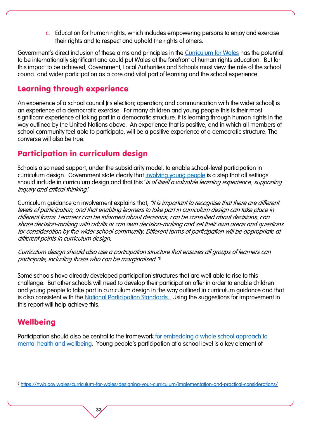c. Education for human rights, which includes empowering persons to enjoy and exercise their rights and to respect and uphold the rights of others.

Government's direct inclusion of these aims and principles in the [Curriculum for Wales](https://hwb.gov.wales/curriculum-for-wales/designing-your-curriculum/cross-cutting-themes-for-designing-your-curriculum/) has the potential to be internationally significant and could put Wales at the forefront of human rights education. But for this impact to be achieved, Government, Local Authorities and Schools must view the role of the school council and wider participation as a core and vital part of learning and the school experience.

#### Learning through experience

An experience of a school council (its election; operation; and communication with the wider school) is an experience of a democratic exercise. For many children and young people this is their most significant experience of taking part in a democratic structure: it is learning through human rights in the way outlined by the United Nations above. An experience that is positive, and in which all members of school community feel able to participate, will be a positive experience of a democratic structure. The converse will also be true.

#### Participation in curriculum design

Schools also need support, under the subsidiarity model, to enable school-level participation in curriculum design. Government state clearly that [involving young people](https://hwb.gov.wales/curriculum-for-wales/designing-your-curriculum/implementation-and-practical-considerations/) is a step that all settings should include in curriculum design and that this 'is of itself a valuable learning experience, supporting inquiry and critical thinking.'

Curriculum guidance on involvement explains that, "It is important to recognise that there are different levels of participation, and that enabling learners to take part in curriculum design can take place in different forms. Learners can be informed about decisions, can be consulted about decisions, can share decision-making with adults or can own decision-making and set their own areas and questions for consideration by the wider school community. Different forms of participation will be appropriate at different points in curriculum design.

Curriculum design should also use a participation structure that ensures all groups of learners can participate, including those who can be marginalised." 8

Some schools have already developed participation structures that are well able to rise to this challenge. But other schools will need to develop their participation offer in order to enable children and young people to take part in curriculum design in the way outlined in curriculum guidance and that is also consistent with the [National Participation Standards.](https://www.childreninwales.org.uk/our-work/participation/participation-standards/) Using the suggestions for improvement in this report will help achieve this.

#### **Wellbeing**

 $\overline{a}$ 

Participation should also be central to the framework [for embedding a whole school approach to](https://gov.wales/framework-embedding-whole-school-approach-emotional-and-mental-well-being)  [mental health and wellbeing](https://gov.wales/framework-embedding-whole-school-approach-emotional-and-mental-well-being). Young people's participation at a school level is a key element of

<sup>8</sup> <https://hwb.gov.wales/curriculum-for-wales/designing-your-curriculum/implementation-and-practical-considerations/>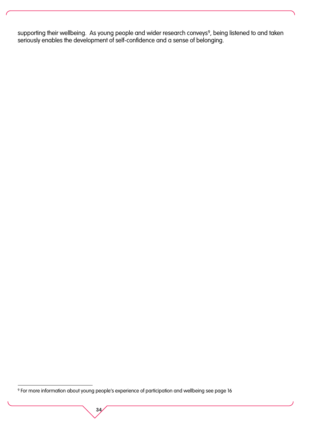supporting their wellbeing. As young people and wider research conveys<sup>9</sup>, being listened to and taken seriously enables the development of self-confidence and a sense of belonging.

34

 $\overline{a}$ 

<sup>9</sup> For more information about young people's experience of participation and wellbeing see page 16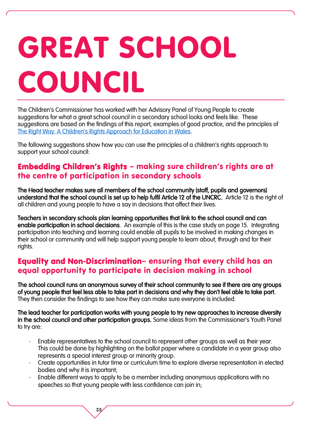# GREAT SCHOOL COUNCIL

The Children's Commissioner has worked with her Advisory Panel of Young People to create suggestions for what a great school council in a secondary school looks and feels like. These suggestions are based on the findings of this report, examples of good practice, and the principles of [The Right Way: A Children's Rights Approach for Education in Wales](https://www.childcomwales.org.uk/wp-content/uploads/2017/05/The-Right-Way-Education.pdf).

The following suggestions show how you can use the principles of a children's rights approach to support your school council:

#### Embedding Children's Rights – making sure children's rights are at the centre of participation in secondary schools

The Head teacher makes sure all members of the school community (staff, pupils and governors) understand that the school council is set up to help fulfil Article 12 of the UNCRC. Article 12 is the right of all children and young people to have a say in decisions that affect their lives.

Teachers in secondary schools plan learning opportunities that link to the school council and can enable participation in school decisions. An example of this is the case study on page 15. Integrating participation into teaching and learning could enable all pupils to be involved in making changes in their school or community and will help support young people to learn about, through and for their rights.

#### Equality and Non-Discrimination– ensuring that every child has an equal opportunity to participate in decision making in school

The school council runs an anonymous survey of their school community to see if there are any groups of young people that feel less able to take part in decisions and why they don't feel able to take part. They then consider the findings to see how they can make sure everyone is included.

The lead teacher for participation works with young people to try new approaches to increase diversity in the school council and other participation groups. Some ideas from the Commissioner's Youth Panel to try are:

- Enable representatives to the school council to represent other groups as well as their year. This could be done by highlighting on the ballot paper where a candidate in a year group also represents a special interest group or minority group.
- Create opportunities in tutor time or curriculum time to explore diverse representation in elected bodies and why it is important;
- Enable different ways to apply to be a member including anonymous applications with no speeches so that young people with less confidence can join in: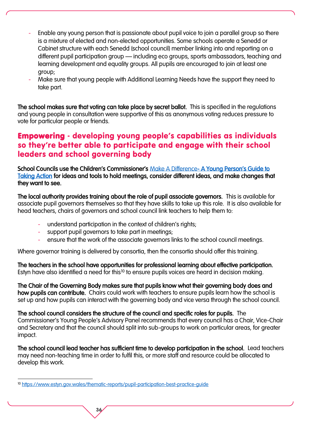- Enable any young person that is passionate about pupil voice to join a parallel group so there is a mixture of elected and non-elected opportunities. Some schools operate a Senedd or Cabinet structure with each Senedd (school council) member linking into and reporting on a different pupil participation group – including eco groups, sports ambassadors, teaching and learning development and equality groups. All pupils are encouraged to join at least one group;
- Make sure that young people with Additional Learning Needs have the support they need to take part.

The school makes sure that voting can take place by secret ballot. This is specified in the regulations and young people in consultation were supportive of this as anonymous voting reduces pressure to vote for particular people or friends.

#### Empowering - developing young people's capabilities as individuals so they're better able to participate and engage with their school leaders and school governing body

School Councils use the Children's Commissioner's [Make A Difference- A Young](https://www.childcomwales.org.uk/make-a-difference/) Person's Guide to [Taking Action](https://www.childcomwales.org.uk/make-a-difference/) for ideas and tools to hold meetings, consider different ideas, and make changes that they want to see.

The local authority provides training about the role of pupil associate governors. This is available for associate pupil governors themselves so that they have skills to take up this role. It is also available for head teachers, chairs of governors and school council link teachers to help them to:

- understand participation in the context of children's rights;
- support pupil governors to take part in meetings;
- ensure that the work of the associate governors links to the school council meetings.

Where governor training is delivered by consortia, then the consortia should offer this training.

The teachers in the school have opportunities for professional learning about effective participation. Estyn have also identified a need for this<sup>10</sup> to ensure pupils voices are heard in decision making.

The Chair of the Governing Body makes sure that pupils know what their governing body does and how pupils can contribute. Chairs could work with teachers to ensure pupils learn how the school is set up and how pupils can interact with the governing body and vice versa through the school council.

The school council considers the structure of the council and specific roles for pupils. The Commissioner's Young People's Advisory Panel recommends that every council has a Chair, Vice-Chair and Secretary and that the council should split into sub-groups to work on particular areas, for greater impact.

The school council lead teacher has sufficient time to develop participation in the school. Lead teachers may need non-teaching time in order to fulfil this, or more staff and resource could be allocated to develop this work.

36

 $\overline{a}$ 

<sup>10</sup> <https://www.estyn.gov.wales/thematic-reports/pupil-participation-best-practice-guide>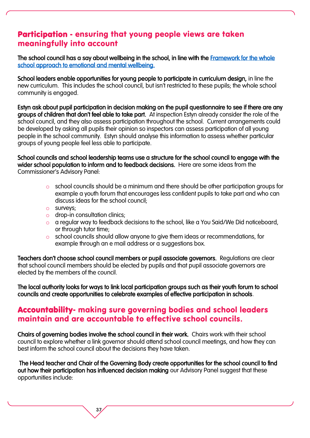#### Participation - ensuring that young people views are taken meaningfully into account

The school council has a say about wellbeing in the school, in line with the Framework for the whole [school approach to emotional and mental wellbeing.](https://gov.wales/framework-embedding-whole-school-approach-emotional-and-mental-well-being) 

School leaders enable opportunities for young people to participate in curriculum design, in line the new curriculum. This includes the school council, but isn't restricted to these pupils; the whole school community is engaged.

Estyn ask about pupil participation in decision making on the pupil questionnaire to see if there are any groups of children that don't feel able to take part. At inspection Estyn already consider the role of the school council, and they also assess participation throughout the school. Current arrangements could be developed by asking all pupils their opinion so inspectors can assess participation of all young people in the school community. Estyn should analyse this information to assess whether particular groups of young people feel less able to participate.

School councils and school leadership teams use a structure for the school council to engage with the wider school population to inform and to feedback decisions. Here are some ideas from the Commissioner's Advisory Panel:

- o school councils should be a minimum and there should be other participation groups for example a youth forum that encourages less confident pupils to take part and who can discuss ideas for the school council;
- o surveys;
- o drop-in consultation clinics;

37

- o a regular way to feedback decisions to the school, like a You Said/We Did noticeboard, or through tutor time;
- o school councils should allow anyone to give them ideas or recommendations, for example through an e mail address or a suggestions box.

Teachers don't choose school council members or pupil associate governors. Regulations are clear that school council members should be elected by pupils and that pupil associate governors are elected by the members of the council.

The local authority looks for ways to link local participation groups such as their youth forum to school councils and create opportunities to celebrate examples of effective participation in schools.

#### Accountability- making sure governing bodies and school leaders maintain and are accountable to effective school councils.

Chairs of governing bodies involve the school council in their work. Chairs work with their school council to explore whether a link governor should attend school council meetings, and how they can best inform the school council about the decisions they have taken.

 The Head teacher and Chair of the Governing Body create opportunities for the school council to find out how their participation has influenced decision making our Advisory Panel suggest that these opportunities include: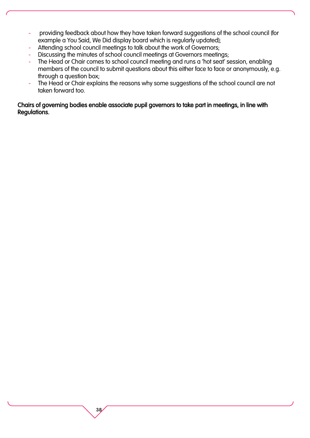- providing feedback about how they have taken forward suggestions of the school council (for example a You Said, We Did display board which is regularly updated);
- Attending school council meetings to talk about the work of Governors;

38

- Discussing the minutes of school council meetings at Governors meetings;
- The Head or Chair comes to school council meeting and runs a 'hot seat' session, enabling members of the council to submit questions about this either face to face or anonymously, e.g. through a question box;
- The Head or Chair explains the reasons why some suggestions of the school council are not taken forward too.

#### Chairs of governing bodies enable associate pupil governors to take part in meetings, in line with Regulations.